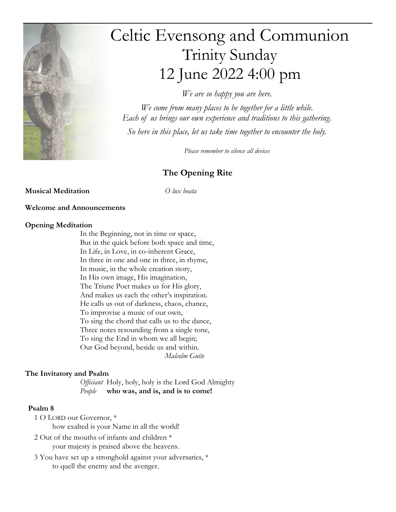

# Celtic Evensong and Communion Trinity Sunday 12 June 2022 4:00 pm

We are so happy you are here.

We come from many places to be together for a little while. Each of us brings our own experience and traditions to this gathering. So here in this place, let us take time together to encounter the holy.

Please remember to silence all devices

## The Opening Rite

#### **Musical Meditation** O lux beata

#### Welcome and Announcements

#### Opening Meditation

In the Beginning, not in time or space, But in the quick before both space and time, In Life, in Love, in co-inherent Grace, In three in one and one in three, in rhyme, In music, in the whole creation story, In His own image, His imagination, The Triune Poet makes us for His glory, And makes us each the other's inspiration. He calls us out of darkness, chaos, chance, To improvise a music of our own, To sing the chord that calls us to the dance, Three notes resounding from a single tone, To sing the End in whom we all begin; Our God beyond, beside us and within. Malcolm Guite

#### The Invitatory and Psalm

Officiant Holy, holy, holy is the Lord God Almighty People who was, and is, and is to come!

#### Psalm 8

- 1 O LORD our Governor, \* how exalted is your Name in all the world!
- 2 Out of the mouths of infants and children \* your majesty is praised above the heavens.
- 3 You have set up a stronghold against your adversaries, \* to quell the enemy and the avenger.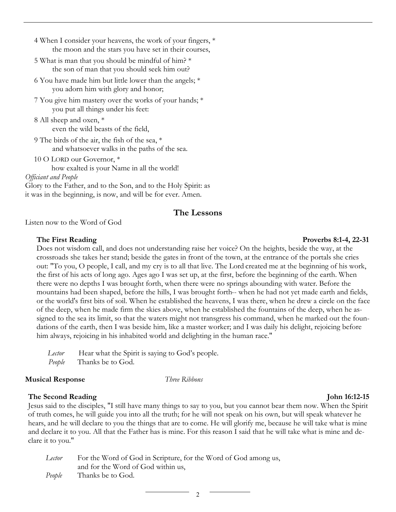- 4 When I consider your heavens, the work of your fingers, \* the moon and the stars you have set in their courses,
- 5 What is man that you should be mindful of him? \* the son of man that you should seek him out?
- 6 You have made him but little lower than the angels; \* you adorn him with glory and honor;
- 7 You give him mastery over the works of your hands; \* you put all things under his feet:
- 8 All sheep and oxen, \* even the wild beasts of the field,
- 9 The birds of the air, the fish of the sea, \* and whatsoever walks in the paths of the sea.
- 10 O LORD our Governor, \* how exalted is your Name in all the world! Officiant and People

Glory to the Father, and to the Son, and to the Holy Spirit: as it was in the beginning, is now, and will be for ever. Amen.

#### The Lessons

Listen now to the Word of God

Does not wisdom call, and does not understanding raise her voice? On the heights, beside the way, at the crossroads she takes her stand; beside the gates in front of the town, at the entrance of the portals she cries out: "To you, O people, I call, and my cry is to all that live. The Lord created me at the beginning of his work, the first of his acts of long ago. Ages ago I was set up, at the first, before the beginning of the earth. When there were no depths I was brought forth, when there were no springs abounding with water. Before the mountains had been shaped, before the hills, I was brought forth-- when he had not yet made earth and fields, or the world's first bits of soil. When he established the heavens, I was there, when he drew a circle on the face of the deep, when he made firm the skies above, when he established the fountains of the deep, when he assigned to the sea its limit, so that the waters might not transgress his command, when he marked out the foundations of the earth, then I was beside him, like a master worker; and I was daily his delight, rejoicing before him always, rejoicing in his inhabited world and delighting in the human race."

Lector Hear what the Spirit is saying to God's people. People Thanks be to God.

#### **Musical Response** Three Ribbons

#### The Second Reading The Second Reading The Second Reading The Second Reading The Second Reading The Second Reading The Second Reading The Second Reading The Second Reading The Second Reading The Second Reading The Second Re

Jesus said to the disciples, "I still have many things to say to you, but you cannot bear them now. When the Spirit of truth comes, he will guide you into all the truth; for he will not speak on his own, but will speak whatever he hears, and he will declare to you the things that are to come. He will glorify me, because he will take what is mine and declare it to you. All that the Father has is mine. For this reason I said that he will take what is mine and declare it to you."

Lector For the Word of God in Scripture, for the Word of God among us, and for the Word of God within us, People Thanks be to God.

#### The First Reading The First Reading 2014, 2004

 $\overline{2}$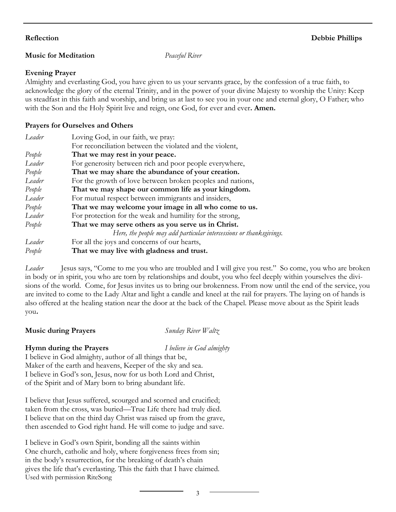#### **Music for Meditation** Peaceful River

#### Evening Prayer

Almighty and everlasting God, you have given to us your servants grace, by the confession of a true faith, to acknowledge the glory of the eternal Trinity, and in the power of your divine Majesty to worship the Unity: Keep us steadfast in this faith and worship, and bring us at last to see you in your one and eternal glory, O Father; who with the Son and the Holy Spirit live and reign, one God, for ever and ever. **Amen.** 

#### Prayers for Ourselves and Others

| Leader | Loving God, in our faith, we pray:                                  |  |
|--------|---------------------------------------------------------------------|--|
|        | For reconciliation between the violated and the violent,            |  |
| People | That we may rest in your peace.                                     |  |
| Leader | For generosity between rich and poor people everywhere,             |  |
| People | That we may share the abundance of your creation.                   |  |
| Leader | For the growth of love between broken peoples and nations,          |  |
| People | That we may shape our common life as your kingdom.                  |  |
| Leader | For mutual respect between immigrants and insiders,                 |  |
| People | That we may welcome your image in all who come to us.               |  |
| Leader | For protection for the weak and humility for the strong,            |  |
| People | That we may serve others as you serve us in Christ.                 |  |
|        | Here, the people may add particular intercessions or thanksgivings. |  |
| Leader | For all the joys and concerns of our hearts,                        |  |
| People | That we may live with gladness and trust.                           |  |

Leader Jesus says, "Come to me you who are troubled and I will give you rest." So come, you who are broken in body or in spirit, you who are torn by relationships and doubt, you who feel deeply within yourselves the divisions of the world. Come, for Jesus invites us to bring our brokenness. From now until the end of the service, you are invited to come to the Lady Altar and light a candle and kneel at the rail for prayers. The laying on of hands is also offered at the healing station near the door at the back of the Chapel. Please move about as the Spirit leads you.

#### **Music during Prayers**  $S$ *unday River Waltz*

#### **Hymn during the Prayers** *I believe in God almighty*

I believe in God almighty, author of all things that be, Maker of the earth and heavens, Keeper of the sky and sea. I believe in God's son, Jesus, now for us both Lord and Christ, of the Spirit and of Mary born to bring abundant life.

I believe that Jesus suffered, scourged and scorned and crucified; taken from the cross, was buried—True Life there had truly died. I believe that on the third day Christ was raised up from the grave, then ascended to God right hand. He will come to judge and save.

I believe in God's own Spirit, bonding all the saints within One church, catholic and holy, where forgiveness frees from sin; in the body's resurrection, for the breaking of death's chain gives the life that's everlasting. This the faith that I have claimed. Used with permission RiteSong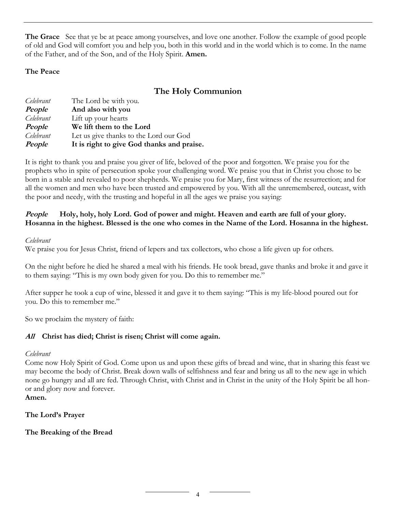**The Grace** See that ye be at peace among yourselves, and love one another. Follow the example of good people of old and God will comfort you and help you, both in this world and in the world which is to come. In the name of the Father, and of the Son, and of the Holy Spirit. Amen.

#### The Peace

## The Holy Communion

| Celebrant | The Lord be with you.                      |
|-----------|--------------------------------------------|
| People    | And also with you                          |
| Celebrant | Lift up your hearts                        |
| People    | We lift them to the Lord                   |
| Celebrant | Let us give thanks to the Lord our God     |
| People    | It is right to give God thanks and praise. |

It is right to thank you and praise you giver of life, beloved of the poor and forgotten. We praise you for the prophets who in spite of persecution spoke your challenging word. We praise you that in Christ you chose to be born in a stable and revealed to poor shepherds. We praise you for Mary, first witness of the resurrection; and for all the women and men who have been trusted and empowered by you. With all the unremembered, outcast, with the poor and needy, with the trusting and hopeful in all the ages we praise you saying:

#### People Holy, holy, holy Lord. God of power and might. Heaven and earth are full of your glory. Hosanna in the highest. Blessed is the one who comes in the Name of the Lord. Hosanna in the highest.

#### Celebrant

We praise you for Jesus Christ, friend of lepers and tax collectors, who chose a life given up for others.

On the night before he died he shared a meal with his friends. He took bread, gave thanks and broke it and gave it to them saying: "This is my own body given for you. Do this to remember me."

After supper he took a cup of wine, blessed it and gave it to them saying: "This is my life-blood poured out for you. Do this to remember me."

So we proclaim the mystery of faith:

#### All Christ has died; Christ is risen; Christ will come again.

#### Celebrant

Come now Holy Spirit of God. Come upon us and upon these gifts of bread and wine, that in sharing this feast we may become the body of Christ. Break down walls of selfishness and fear and bring us all to the new age in which none go hungry and all are fed. Through Christ, with Christ and in Christ in the unity of the Holy Spirit be all honor and glory now and forever.

#### Amen.

#### The Lord's Prayer

#### The Breaking of the Bread

 $\overline{4}$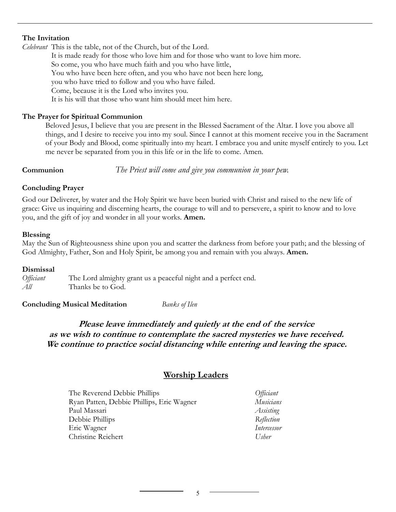#### The Invitation

Celebrant This is the table, not of the Church, but of the Lord.

It is made ready for those who love him and for those who want to love him more. So come, you who have much faith and you who have little, You who have been here often, and you who have not been here long, you who have tried to follow and you who have failed. Come, because it is the Lord who invites you. It is his will that those who want him should meet him here.

#### The Prayer for Spiritual Communion

Beloved Jesus, I believe that you are present in the Blessed Sacrament of the Altar. I love you above all things, and I desire to receive you into my soul. Since I cannot at this moment receive you in the Sacrament of your Body and Blood, come spiritually into my heart. I embrace you and unite myself entirely to you. Let me never be separated from you in this life or in the life to come. Amen.

**Communion** The Priest will come and give you communion in your pew.

#### Concluding Prayer

God our Deliverer, by water and the Holy Spirit we have been buried with Christ and raised to the new life of grace: Give us inquiring and discerning hearts, the courage to will and to persevere, a spirit to know and to love you, and the gift of joy and wonder in all your works. Amen.

#### Blessing

May the Sun of Righteousness shine upon you and scatter the darkness from before your path; and the blessing of God Almighty, Father, Son and Holy Spirit, be among you and remain with you always. Amen.

#### Dismissal

Officiant The Lord almighty grant us a peaceful night and a perfect end. All Thanks be to God.

**Concluding Musical Meditation** *Banks of Ilen* 

#### Please leave immediately and quietly at the end of the service as we wish to continue to contemplate the sacred mysteries we have received. We continue to practice social distancing while entering and leaving the space.

#### Worship Leaders

| The Reverend Debbie Phillips              | <i>Officiant</i> |
|-------------------------------------------|------------------|
| Ryan Patten, Debbie Phillips, Eric Wagner | Musicians        |
| Paul Massari                              | Assisting        |
| Debbie Phillips                           | Reflection       |
| Eric Wagner                               | Intercessor      |
| <b>Christine Reichert</b>                 | Usher            |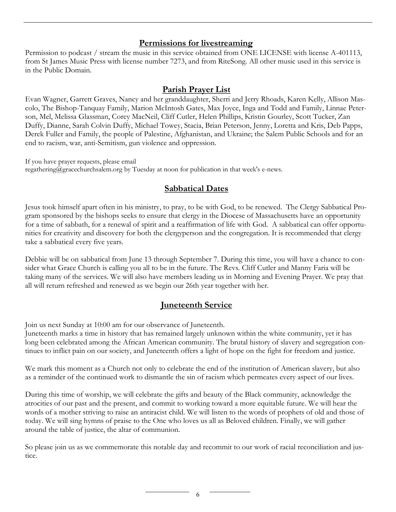#### Permissions for livestreaming

Permission to podcast / stream the music in this service obtained from ONE LICENSE with license A-401113, from St James Music Press with license number 7273, and from RiteSong. All other music used in this service is in the Public Domain.

#### Parish Prayer List

Evan Wagner, Garrett Graves, Nancy and her granddaughter, Sherri and Jerry Rhoads, Karen Kelly, Allison Mascolo, The Bishop-Tanquay Family, Marion McIntosh Gates, Max Joyce, Inga and Todd and Family, Linnae Peterson, Mel, Melissa Glassman, Corey MacNeil, Cliff Cutler, Helen Phillips, Kristin Gourley, Scott Tucker, Zan Duffy, Dianne, Sarah Colvin Duffy, Michael Towey, Stacia, Brian Peterson, Jenny, Loretta and Kris, Deb Papps, Derek Fuller and Family, the people of Palestine, Afghanistan, and Ukraine; the Salem Public Schools and for an end to racism, war, anti-Semitism, gun violence and oppression.

If you have prayer requests, please email regathering@gracechurchsalem.org by Tuesday at noon for publication in that week's e-news.

#### Sabbatical Dates

Jesus took himself apart often in his ministry, to pray, to be with God, to be renewed. The Clergy Sabbatical Program sponsored by the bishops seeks to ensure that clergy in the Diocese of Massachusetts have an opportunity for a time of sabbath, for a renewal of spirit and a reaffirmation of life with God. A sabbatical can offer opportunities for creativity and discovery for both the clergyperson and the congregation. It is recommended that clergy take a sabbatical every five years.

Debbie will be on sabbatical from June 13 through September 7. During this time, you will have a chance to consider what Grace Church is calling you all to be in the future. The Revs. Cliff Cutler and Manny Faria will be taking many of the services. We will also have members leading us in Morning and Evening Prayer. We pray that all will return refreshed and renewed as we begin our 26th year together with her.

## Juneteenth Service

Join us next Sunday at 10:00 am for our observance of Juneteenth.

Juneteenth marks a time in history that has remained largely unknown within the white community, yet it has long been celebrated among the African American community. The brutal history of slavery and segregation continues to inflict pain on our society, and Juneteenth offers a light of hope on the fight for freedom and justice.

We mark this moment as a Church not only to celebrate the end of the institution of American slavery, but also as a reminder of the continued work to dismantle the sin of racism which permeates every aspect of our lives.

During this time of worship, we will celebrate the gifts and beauty of the Black community, acknowledge the atrocities of our past and the present, and commit to working toward a more equitable future. We will hear the words of a mother striving to raise an antiracist child. We will listen to the words of prophets of old and those of today. We will sing hymns of praise to the One who loves us all as Beloved children. Finally, we will gather around the table of justice, the altar of communion.

So please join us as we commemorate this notable day and recommit to our work of racial reconciliation and justice.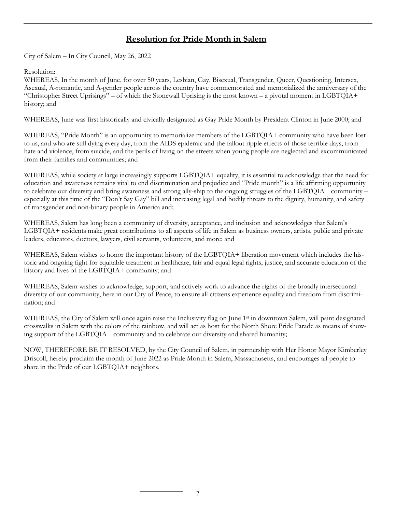#### Resolution for Pride Month in Salem

City of Salem – In City Council, May 26, 2022

#### Resolution:

WHEREAS, In the month of June, for over 50 years, Lesbian, Gay, Bisexual, Transgender, Queer, Questioning, Intersex, Asexual, A-romantic, and A-gender people across the country have commemorated and memorialized the anniversary of the "Christopher Street Uprisings" – of which the Stonewall Uprising is the most known – a pivotal moment in LGBTQIA+ history; and

WHEREAS, June was first historically and civically designated as Gay Pride Month by President Clinton in June 2000; and

WHEREAS, "Pride Month" is an opportunity to memorialize members of the LGBTQIA+ community who have been lost to us, and who are still dying every day, from the AIDS epidemic and the fallout ripple effects of those terrible days, from hate and violence, from suicide, and the perils of living on the streets when young people are neglected and excommunicated from their families and communities; and

WHEREAS, while society at large increasingly supports LGBTQIA+ equality, it is essential to acknowledge that the need for education and awareness remains vital to end discrimination and prejudice and "Pride month" is a life affirming opportunity to celebrate our diversity and bring awareness and strong ally-ship to the ongoing struggles of the LGBTQIA+ community – especially at this time of the "Don't Say Gay" bill and increasing legal and bodily threats to the dignity, humanity, and safety of transgender and non-binary people in America and;

WHEREAS, Salem has long been a community of diversity, acceptance, and inclusion and acknowledges that Salem's LGBTQIA+ residents make great contributions to all aspects of life in Salem as business owners, artists, public and private leaders, educators, doctors, lawyers, civil servants, volunteers, and more; and

WHEREAS, Salem wishes to honor the important history of the LGBTQIA+ liberation movement which includes the historic and ongoing fight for equitable treatment in healthcare, fair and equal legal rights, justice, and accurate education of the history and lives of the LGBTQIA+ community; and

WHEREAS, Salem wishes to acknowledge, support, and actively work to advance the rights of the broadly intersectional diversity of our community, here in our City of Peace, to ensure all citizens experience equality and freedom from discrimination; and

WHEREAS, the City of Salem will once again raise the Inclusivity flag on June 1<sup>st</sup> in downtown Salem, will paint designated crosswalks in Salem with the colors of the rainbow, and will act as host for the North Shore Pride Parade as means of showing support of the LGBTQIA+ community and to celebrate our diversity and shared humanity;

NOW, THEREFORE BE IT RESOLVED, by the City Council of Salem, in partnership with Her Honor Mayor Kimberley Driscoll, hereby proclaim the month of June 2022 as Pride Month in Salem, Massachusetts, and encourages all people to share in the Pride of our LGBTOIA+ neighbors.